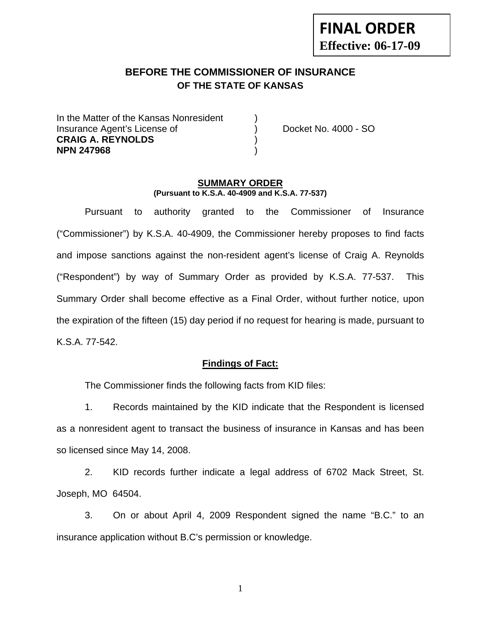# **FINAL ORDER Effective: 06-17-09**

## **BEFORE THE COMMISSIONER OF INSURANCE OF THE STATE OF KANSAS**

In the Matter of the Kansas Nonresident Insurance Agent's License of ) Docket No. 4000 - SO **CRAIG A. REYNOLDS** ) **NPN 247968** )

#### **SUMMARY ORDER (Pursuant to K.S.A. 40-4909 and K.S.A. 77-537)**

 Pursuant to authority granted to the Commissioner of Insurance ("Commissioner") by K.S.A. 40-4909, the Commissioner hereby proposes to find facts and impose sanctions against the non-resident agent's license of Craig A. Reynolds ("Respondent") by way of Summary Order as provided by K.S.A. 77-537. This Summary Order shall become effective as a Final Order, without further notice, upon the expiration of the fifteen (15) day period if no request for hearing is made, pursuant to K.S.A. 77-542.

#### **Findings of Fact:**

The Commissioner finds the following facts from KID files:

 1. Records maintained by the KID indicate that the Respondent is licensed as a nonresident agent to transact the business of insurance in Kansas and has been so licensed since May 14, 2008.

 2. KID records further indicate a legal address of 6702 Mack Street, St. Joseph, MO 64504.

 3. On or about April 4, 2009 Respondent signed the name "B.C." to an insurance application without B.C's permission or knowledge.

1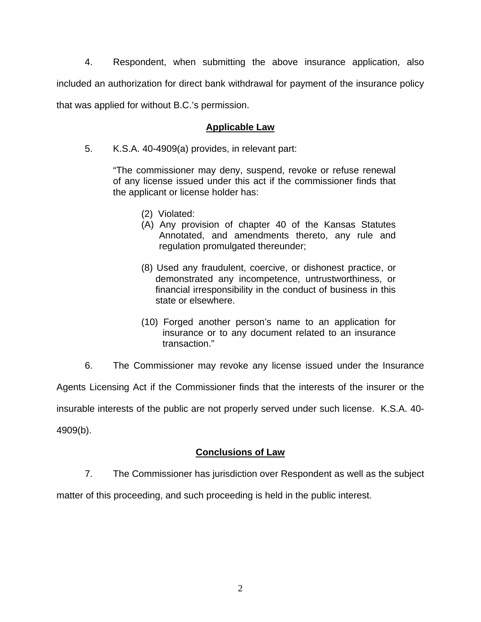4. Respondent, when submitting the above insurance application, also included an authorization for direct bank withdrawal for payment of the insurance policy that was applied for without B.C.'s permission.

### **Applicable Law**

5. K.S.A. 40-4909(a) provides, in relevant part:

"The commissioner may deny, suspend, revoke or refuse renewal of any license issued under this act if the commissioner finds that the applicant or license holder has:

- (2) Violated:
- (A) Any provision of chapter 40 of the Kansas Statutes Annotated, and amendments thereto, any rule and regulation promulgated thereunder;
- (8) Used any fraudulent, coercive, or dishonest practice, or demonstrated any incompetence, untrustworthiness, or financial irresponsibility in the conduct of business in this state or elsewhere.
- (10) Forged another person's name to an application for insurance or to any document related to an insurance transaction."
- 6. The Commissioner may revoke any license issued under the Insurance

Agents Licensing Act if the Commissioner finds that the interests of the insurer or the

insurable interests of the public are not properly served under such license. K.S.A. 40-

4909(b).

#### **Conclusions of Law**

7. The Commissioner has jurisdiction over Respondent as well as the subject

matter of this proceeding, and such proceeding is held in the public interest.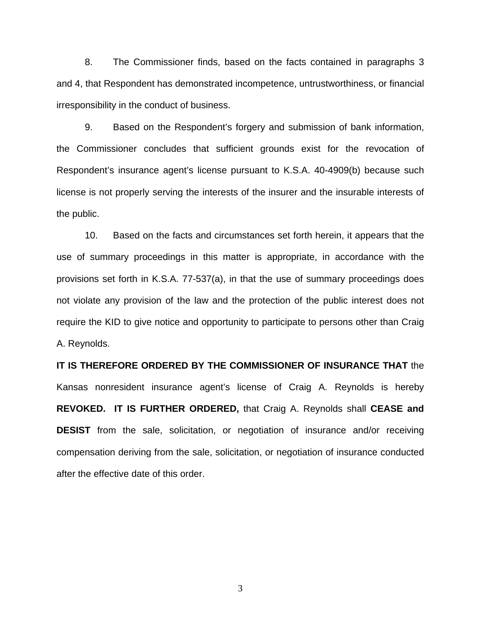8. The Commissioner finds, based on the facts contained in paragraphs 3 and 4, that Respondent has demonstrated incompetence, untrustworthiness, or financial irresponsibility in the conduct of business.

 9. Based on the Respondent's forgery and submission of bank information, the Commissioner concludes that sufficient grounds exist for the revocation of Respondent's insurance agent's license pursuant to K.S.A. 40-4909(b) because such license is not properly serving the interests of the insurer and the insurable interests of the public.

 10. Based on the facts and circumstances set forth herein, it appears that the use of summary proceedings in this matter is appropriate, in accordance with the provisions set forth in K.S.A. 77-537(a), in that the use of summary proceedings does not violate any provision of the law and the protection of the public interest does not require the KID to give notice and opportunity to participate to persons other than Craig A. Reynolds.

**IT IS THEREFORE ORDERED BY THE COMMISSIONER OF INSURANCE THAT** the Kansas nonresident insurance agent's license of Craig A. Reynolds is hereby **REVOKED. IT IS FURTHER ORDERED,** that Craig A. Reynolds shall **CEASE and DESIST** from the sale, solicitation, or negotiation of insurance and/or receiving compensation deriving from the sale, solicitation, or negotiation of insurance conducted after the effective date of this order.

3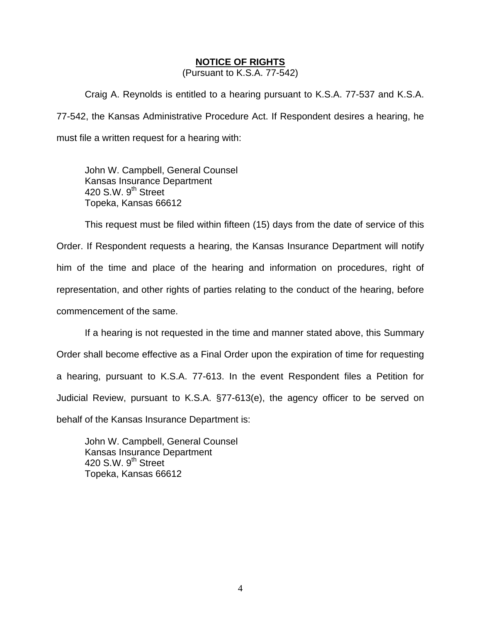#### **NOTICE OF RIGHTS**

(Pursuant to K.S.A. 77-542)

Craig A. Reynolds is entitled to a hearing pursuant to K.S.A. 77-537 and K.S.A. 77-542, the Kansas Administrative Procedure Act. If Respondent desires a hearing, he must file a written request for a hearing with:

 John W. Campbell, General Counsel Kansas Insurance Department 420 S.W. 9<sup>th</sup> Street Topeka, Kansas 66612

This request must be filed within fifteen (15) days from the date of service of this Order. If Respondent requests a hearing, the Kansas Insurance Department will notify him of the time and place of the hearing and information on procedures, right of representation, and other rights of parties relating to the conduct of the hearing, before commencement of the same.

If a hearing is not requested in the time and manner stated above, this Summary Order shall become effective as a Final Order upon the expiration of time for requesting a hearing, pursuant to K.S.A. 77-613. In the event Respondent files a Petition for Judicial Review, pursuant to K.S.A. §77-613(e), the agency officer to be served on behalf of the Kansas Insurance Department is:

 John W. Campbell, General Counsel Kansas Insurance Department 420 S.W.  $9<sup>th</sup>$  Street Topeka, Kansas 66612